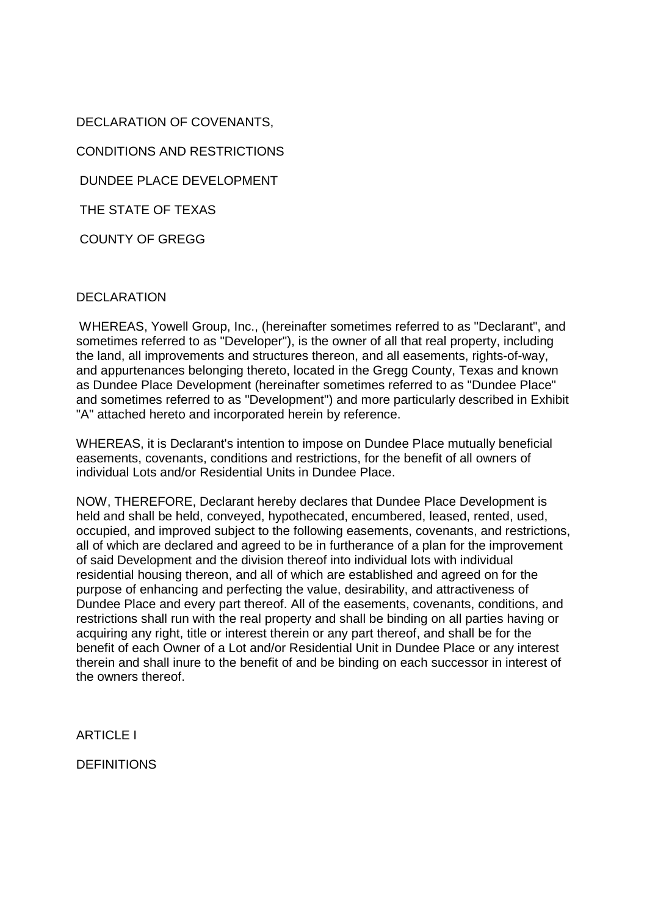DECLARATION OF COVENANTS, CONDITIONS AND RESTRICTIONS DUNDEE PLACE DEVELOPMENT THE STATE OF TEXAS

# DECLARATION

COUNTY OF GREGG

 WHEREAS, Yowell Group, Inc., (hereinafter sometimes referred to as "Declarant", and sometimes referred to as "Developer"), is the owner of all that real property, including the land, all improvements and structures thereon, and all easements, rights-of-way, and appurtenances belonging thereto, located in the Gregg County, Texas and known as Dundee Place Development (hereinafter sometimes referred to as "Dundee Place" and sometimes referred to as "Development") and more particularly described in Exhibit "A" attached hereto and incorporated herein by reference.

WHEREAS, it is Declarant's intention to impose on Dundee Place mutually beneficial easements, covenants, conditions and restrictions, for the benefit of all owners of individual Lots and/or Residential Units in Dundee Place.

NOW, THEREFORE, Declarant hereby declares that Dundee Place Development is held and shall be held, conveyed, hypothecated, encumbered, leased, rented, used, occupied, and improved subject to the following easements, covenants, and restrictions, all of which are declared and agreed to be in furtherance of a plan for the improvement of said Development and the division thereof into individual lots with individual residential housing thereon, and all of which are established and agreed on for the purpose of enhancing and perfecting the value, desirability, and attractiveness of Dundee Place and every part thereof. All of the easements, covenants, conditions, and restrictions shall run with the real property and shall be binding on all parties having or acquiring any right, title or interest therein or any part thereof, and shall be for the benefit of each Owner of a Lot and/or Residential Unit in Dundee Place or any interest therein and shall inure to the benefit of and be binding on each successor in interest of the owners thereof.

**ARTICLE I** 

**DEFINITIONS**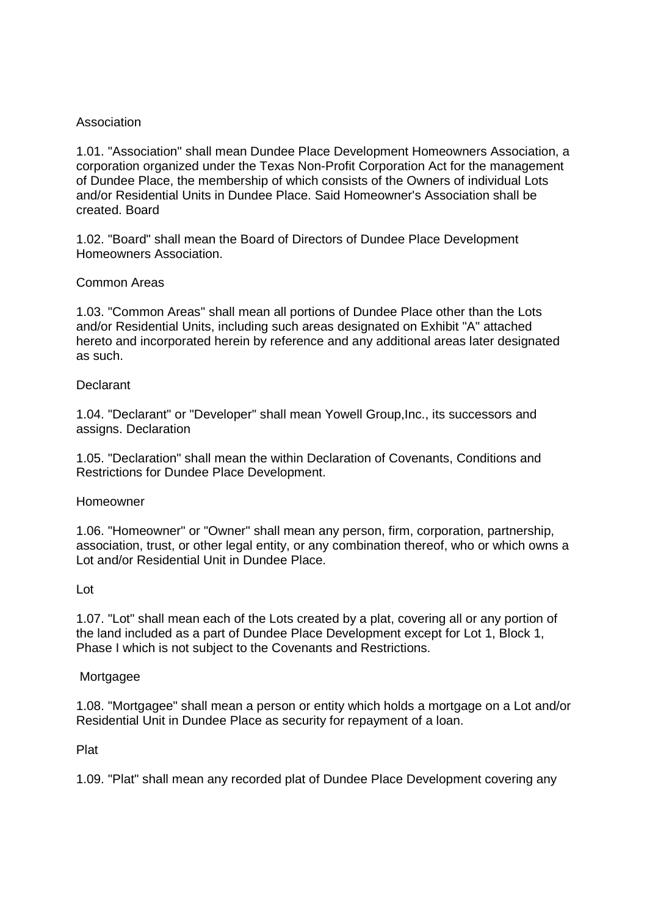# Association

1.01. "Association" shall mean Dundee Place Development Homeowners Association, a corporation organized under the Texas Non-Profit Corporation Act for the management of Dundee Place, the membership of which consists of the Owners of individual Lots and/or Residential Units in Dundee Place. Said Homeowner's Association shall be created. Board

1.02. "Board" shall mean the Board of Directors of Dundee Place Development Homeowners Association.

# Common Areas

1.03. "Common Areas" shall mean all portions of Dundee Place other than the Lots and/or Residential Units, including such areas designated on Exhibit "A" attached hereto and incorporated herein by reference and any additional areas later designated as such.

# **Declarant**

1.04. "Declarant" or "Developer" shall mean Yowell Group,Inc., its successors and assigns. Declaration

1.05. "Declaration" shall mean the within Declaration of Covenants, Conditions and Restrictions for Dundee Place Development.

# Homeowner

1.06. "Homeowner" or "Owner" shall mean any person, firm, corporation, partnership, association, trust, or other legal entity, or any combination thereof, who or which owns a Lot and/or Residential Unit in Dundee Place.

# Lot

1.07. "Lot" shall mean each of the Lots created by a plat, covering all or any portion of the land included as a part of Dundee Place Development except for Lot 1, Block 1, Phase I which is not subject to the Covenants and Restrictions.

# Mortgagee

1.08. "Mortgagee" shall mean a person or entity which holds a mortgage on a Lot and/or Residential Unit in Dundee Place as security for repayment of a loan.

Plat

1.09. "Plat" shall mean any recorded plat of Dundee Place Development covering any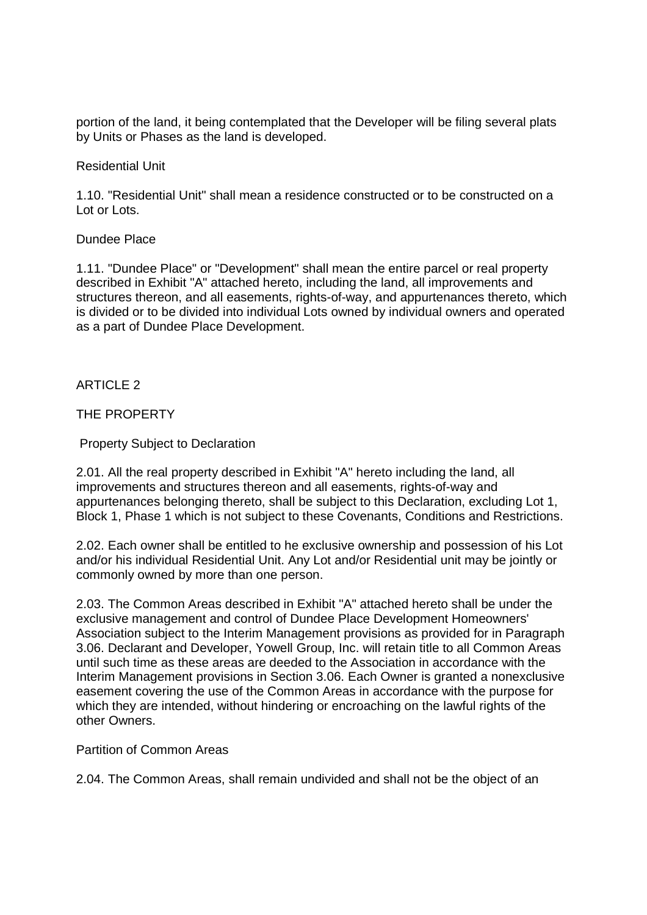portion of the land, it being contemplated that the Developer will be filing several plats by Units or Phases as the land is developed.

Residential Unit

1.10. "Residential Unit" shall mean a residence constructed or to be constructed on a Lot or Lots.

# Dundee Place

1.11. "Dundee Place" or "Development" shall mean the entire parcel or real property described in Exhibit "A" attached hereto, including the land, all improvements and structures thereon, and all easements, rights-of-way, and appurtenances thereto, which is divided or to be divided into individual Lots owned by individual owners and operated as a part of Dundee Place Development.

ARTICLE  $2$ 

# THE PROPERTY

Property Subject to Declaration

2.01. All the real property described in Exhibit "A" hereto including the land, all improvements and structures thereon and all easements, rights-of-way and appurtenances belonging thereto, shall be subject to this Declaration, excluding Lot 1, Block 1, Phase 1 which is not subject to these Covenants, Conditions and Restrictions.

2.02. Each owner shall be entitled to he exclusive ownership and possession of his Lot and/or his individual Residential Unit. Any Lot and/or Residential unit may be jointly or commonly owned by more than one person.

2.03. The Common Areas described in Exhibit "A" attached hereto shall be under the exclusive management and control of Dundee Place Development Homeowners' Association subject to the Interim Management provisions as provided for in Paragraph 3.06. Declarant and Developer, Yowell Group, Inc. will retain title to all Common Areas until such time as these areas are deeded to the Association in accordance with the Interim Management provisions in Section 3.06. Each Owner is granted a nonexclusive easement covering the use of the Common Areas in accordance with the purpose for which they are intended, without hindering or encroaching on the lawful rights of the other Owners.

Partition of Common Areas

2.04. The Common Areas, shall remain undivided and shall not be the object of an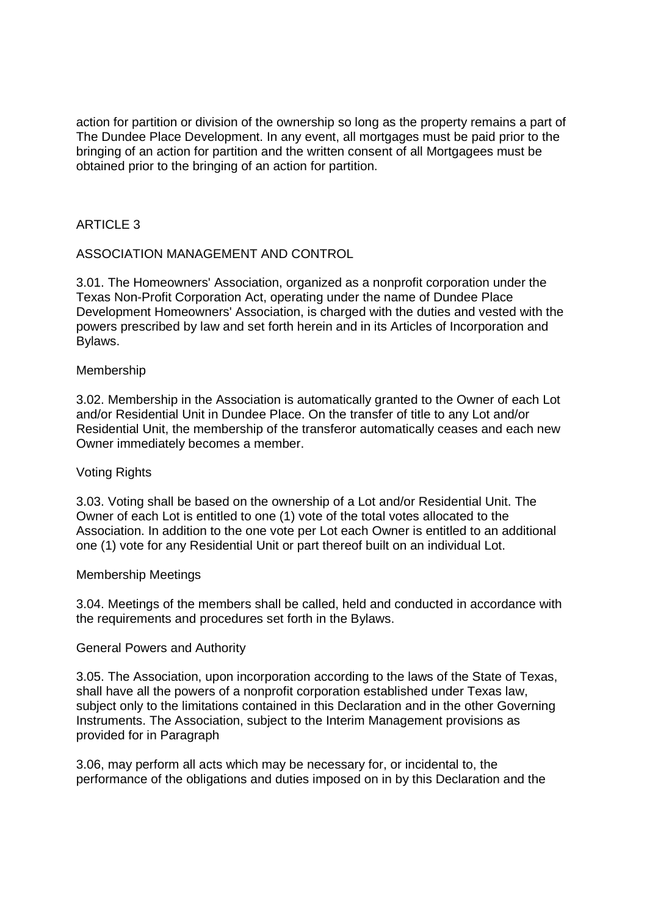action for partition or division of the ownership so long as the property remains a part of The Dundee Place Development. In any event, all mortgages must be paid prior to the bringing of an action for partition and the written consent of all Mortgagees must be obtained prior to the bringing of an action for partition.

# ARTICLE  $3$

# ASSOCIATION MANAGEMENT AND CONTROL

3.01. The Homeowners' Association, organized as a nonprofit corporation under the Texas Non-Profit Corporation Act, operating under the name of Dundee Place Development Homeowners' Association, is charged with the duties and vested with the powers prescribed by law and set forth herein and in its Articles of Incorporation and Bylaws.

# Membership

3.02. Membership in the Association is automatically granted to the Owner of each Lot and/or Residential Unit in Dundee Place. On the transfer of title to any Lot and/or Residential Unit, the membership of the transferor automatically ceases and each new Owner immediately becomes a member.

# Voting Rights

3.03. Voting shall be based on the ownership of a Lot and/or Residential Unit. The Owner of each Lot is entitled to one (1) vote of the total votes allocated to the Association. In addition to the one vote per Lot each Owner is entitled to an additional one (1) vote for any Residential Unit or part thereof built on an individual Lot.

#### Membership Meetings

3.04. Meetings of the members shall be called, held and conducted in accordance with the requirements and procedures set forth in the Bylaws.

#### General Powers and Authority

3.05. The Association, upon incorporation according to the laws of the State of Texas, shall have all the powers of a nonprofit corporation established under Texas law, subject only to the limitations contained in this Declaration and in the other Governing Instruments. The Association, subject to the Interim Management provisions as provided for in Paragraph

3.06, may perform all acts which may be necessary for, or incidental to, the performance of the obligations and duties imposed on in by this Declaration and the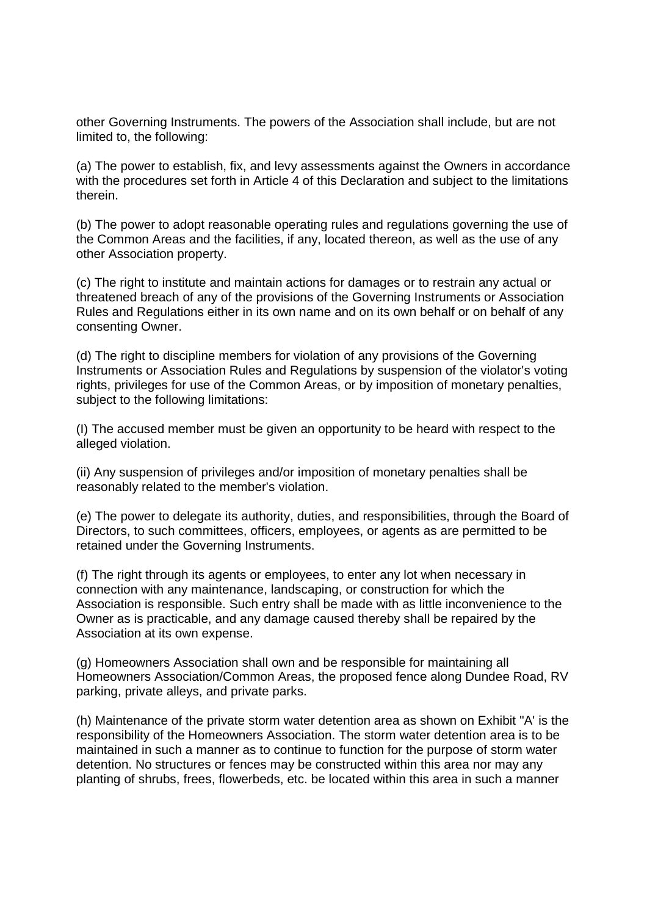other Governing Instruments. The powers of the Association shall include, but are not limited to, the following:

(a) The power to establish, fix, and levy assessments against the Owners in accordance with the procedures set forth in Article 4 of this Declaration and subject to the limitations therein.

(b) The power to adopt reasonable operating rules and regulations governing the use of the Common Areas and the facilities, if any, located thereon, as well as the use of any other Association property.

(c) The right to institute and maintain actions for damages or to restrain any actual or threatened breach of any of the provisions of the Governing Instruments or Association Rules and Regulations either in its own name and on its own behalf or on behalf of any consenting Owner.

(d) The right to discipline members for violation of any provisions of the Governing Instruments or Association Rules and Regulations by suspension of the violator's voting rights, privileges for use of the Common Areas, or by imposition of monetary penalties, subject to the following limitations:

(I) The accused member must be given an opportunity to be heard with respect to the alleged violation.

(ii) Any suspension of privileges and/or imposition of monetary penalties shall be reasonably related to the member's violation.

(e) The power to delegate its authority, duties, and responsibilities, through the Board of Directors, to such committees, officers, employees, or agents as are permitted to be retained under the Governing Instruments.

(f) The right through its agents or employees, to enter any lot when necessary in connection with any maintenance, landscaping, or construction for which the Association is responsible. Such entry shall be made with as little inconvenience to the Owner as is practicable, and any damage caused thereby shall be repaired by the Association at its own expense.

(g) Homeowners Association shall own and be responsible for maintaining all Homeowners Association/Common Areas, the proposed fence along Dundee Road, RV parking, private alleys, and private parks.

(h) Maintenance of the private storm water detention area as shown on Exhibit "A' is the responsibility of the Homeowners Association. The storm water detention area is to be maintained in such a manner as to continue to function for the purpose of storm water detention. No structures or fences may be constructed within this area nor may any planting of shrubs, frees, flowerbeds, etc. be located within this area in such a manner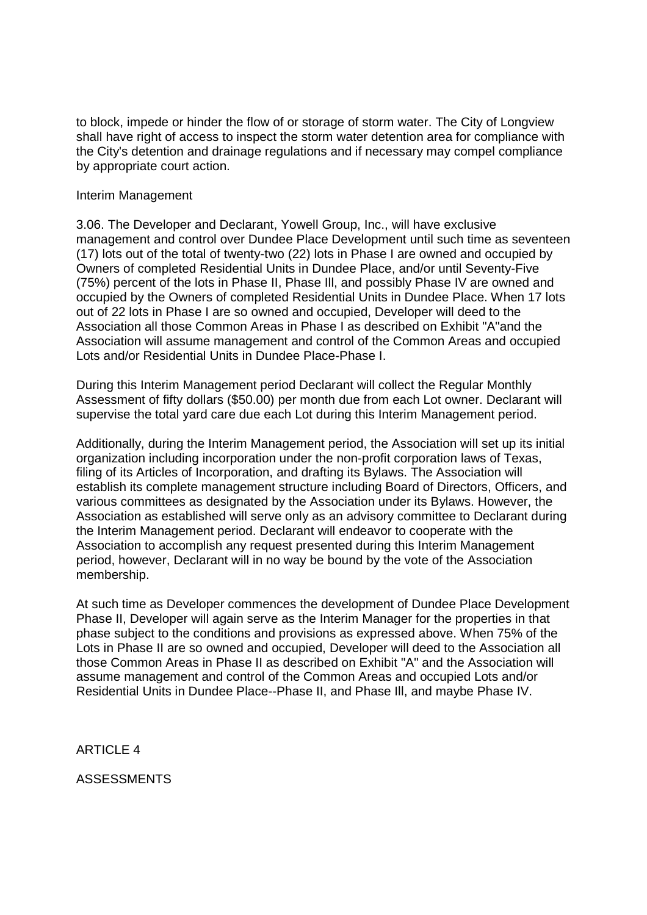to block, impede or hinder the flow of or storage of storm water. The City of Longview shall have right of access to inspect the storm water detention area for compliance with the City's detention and drainage regulations and if necessary may compel compliance by appropriate court action.

### Interim Management

3.06. The Developer and Declarant, Yowell Group, Inc., will have exclusive management and control over Dundee Place Development until such time as seventeen (17) lots out of the total of twenty-two (22) lots in Phase I are owned and occupied by Owners of completed Residential Units in Dundee Place, and/or until Seventy-Five (75%) percent of the lots in Phase II, Phase Ill, and possibly Phase IV are owned and occupied by the Owners of completed Residential Units in Dundee Place. When 17 lots out of 22 lots in Phase I are so owned and occupied, Developer will deed to the Association all those Common Areas in Phase I as described on Exhibit "A"and the Association will assume management and control of the Common Areas and occupied Lots and/or Residential Units in Dundee Place-Phase I.

During this Interim Management period Declarant will collect the Regular Monthly Assessment of fifty dollars (\$50.00) per month due from each Lot owner. Declarant will supervise the total yard care due each Lot during this Interim Management period.

Additionally, during the Interim Management period, the Association will set up its initial organization including incorporation under the non-profit corporation laws of Texas, filing of its Articles of Incorporation, and drafting its Bylaws. The Association will establish its complete management structure including Board of Directors, Officers, and various committees as designated by the Association under its Bylaws. However, the Association as established will serve only as an advisory committee to Declarant during the Interim Management period. Declarant will endeavor to cooperate with the Association to accomplish any request presented during this Interim Management period, however, Declarant will in no way be bound by the vote of the Association membership.

At such time as Developer commences the development of Dundee Place Development Phase II, Developer will again serve as the Interim Manager for the properties in that phase subject to the conditions and provisions as expressed above. When 75% of the Lots in Phase II are so owned and occupied, Developer will deed to the Association all those Common Areas in Phase II as described on Exhibit "A" and the Association will assume management and control of the Common Areas and occupied Lots and/or Residential Units in Dundee Place--Phase II, and Phase Ill, and maybe Phase IV.

ARTICLE 4

ASSESSMENTS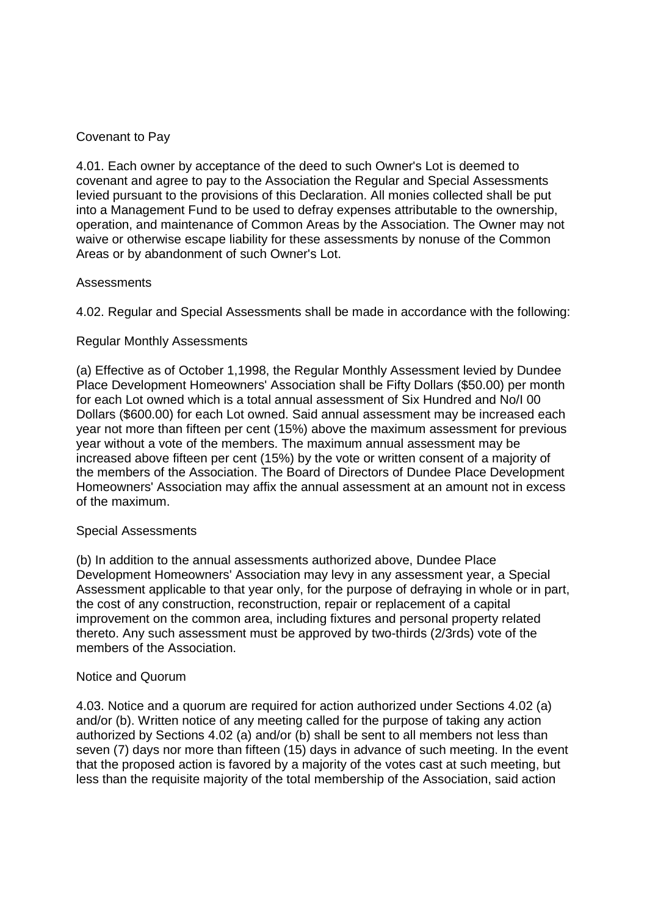# Covenant to Pay

4.01. Each owner by acceptance of the deed to such Owner's Lot is deemed to covenant and agree to pay to the Association the Regular and Special Assessments levied pursuant to the provisions of this Declaration. All monies collected shall be put into a Management Fund to be used to defray expenses attributable to the ownership, operation, and maintenance of Common Areas by the Association. The Owner may not waive or otherwise escape liability for these assessments by nonuse of the Common Areas or by abandonment of such Owner's Lot.

# Assessments

4.02. Regular and Special Assessments shall be made in accordance with the following:

# Regular Monthly Assessments

(a) Effective as of October 1,1998, the Regular Monthly Assessment levied by Dundee Place Development Homeowners' Association shall be Fifty Dollars (\$50.00) per month for each Lot owned which is a total annual assessment of Six Hundred and No/I 00 Dollars (\$600.00) for each Lot owned. Said annual assessment may be increased each year not more than fifteen per cent (15%) above the maximum assessment for previous year without a vote of the members. The maximum annual assessment may be increased above fifteen per cent (15%) by the vote or written consent of a majority of the members of the Association. The Board of Directors of Dundee Place Development Homeowners' Association may affix the annual assessment at an amount not in excess of the maximum.

# Special Assessments

(b) In addition to the annual assessments authorized above, Dundee Place Development Homeowners' Association may levy in any assessment year, a Special Assessment applicable to that year only, for the purpose of defraying in whole or in part, the cost of any construction, reconstruction, repair or replacement of a capital improvement on the common area, including fixtures and personal property related thereto. Any such assessment must be approved by two-thirds (2/3rds) vote of the members of the Association.

# Notice and Quorum

4.03. Notice and a quorum are required for action authorized under Sections 4.02 (a) and/or (b). Written notice of any meeting called for the purpose of taking any action authorized by Sections 4.02 (a) and/or (b) shall be sent to all members not less than seven (7) days nor more than fifteen (15) days in advance of such meeting. In the event that the proposed action is favored by a majority of the votes cast at such meeting, but less than the requisite majority of the total membership of the Association, said action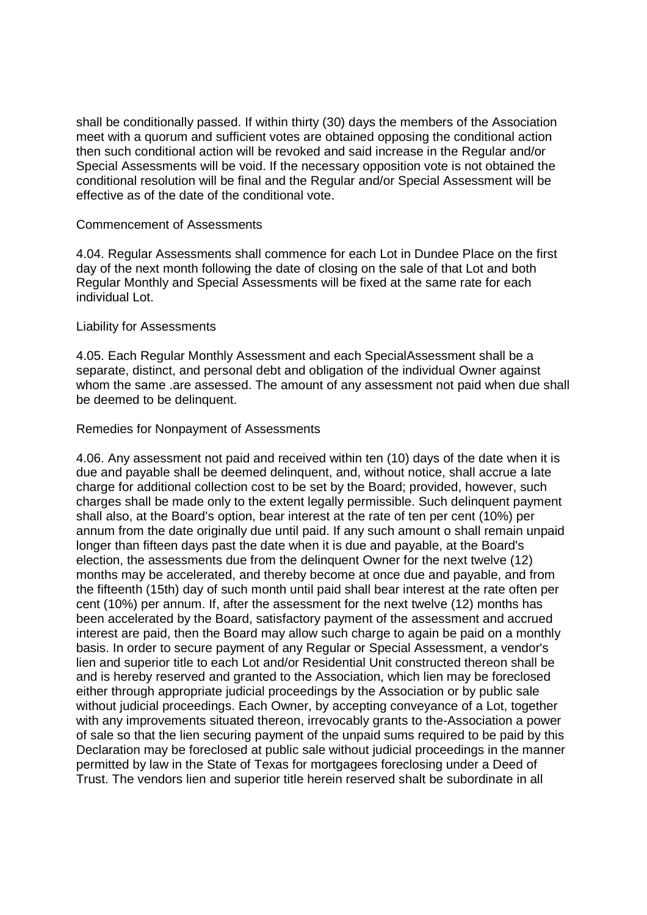shall be conditionally passed. If within thirty (30) days the members of the Association meet with a quorum and sufficient votes are obtained opposing the conditional action then such conditional action will be revoked and said increase in the Regular and/or Special Assessments will be void. If the necessary opposition vote is not obtained the conditional resolution will be final and the Regular and/or Special Assessment will be effective as of the date of the conditional vote.

#### Commencement of Assessments

4.04. Regular Assessments shall commence for each Lot in Dundee Place on the first day of the next month following the date of closing on the sale of that Lot and both Regular Monthly and Special Assessments will be fixed at the same rate for each individual Lot.

#### Liability for Assessments

4.05. Each Regular Monthly Assessment and each SpecialAssessment shall be a separate, distinct, and personal debt and obligation of the individual Owner against whom the same .are assessed. The amount of any assessment not paid when due shall be deemed to be delinquent.

#### Remedies for Nonpayment of Assessments

4.06. Any assessment not paid and received within ten (10) days of the date when it is due and payable shall be deemed delinquent, and, without notice, shall accrue a late charge for additional collection cost to be set by the Board; provided, however, such charges shall be made only to the extent legally permissible. Such delinquent payment shall also, at the Board's option, bear interest at the rate of ten per cent (10%) per annum from the date originally due until paid. If any such amount o shall remain unpaid longer than fifteen days past the date when it is due and payable, at the Board's election, the assessments due from the delinquent Owner for the next twelve (12) months may be accelerated, and thereby become at once due and payable, and from the fifteenth (15th) day of such month until paid shall bear interest at the rate often per cent (10%) per annum. If, after the assessment for the next twelve (12) months has been accelerated by the Board, satisfactory payment of the assessment and accrued interest are paid, then the Board may allow such charge to again be paid on a monthly basis. In order to secure payment of any Regular or Special Assessment, a vendor's lien and superior title to each Lot and/or Residential Unit constructed thereon shall be and is hereby reserved and granted to the Association, which lien may be foreclosed either through appropriate judicial proceedings by the Association or by public sale without judicial proceedings. Each Owner, by accepting conveyance of a Lot, together with any improvements situated thereon, irrevocably grants to the-Association a power of sale so that the lien securing payment of the unpaid sums required to be paid by this Declaration may be foreclosed at public sale without judicial proceedings in the manner permitted by law in the State of Texas for mortgagees foreclosing under a Deed of Trust. The vendors lien and superior title herein reserved shalt be subordinate in all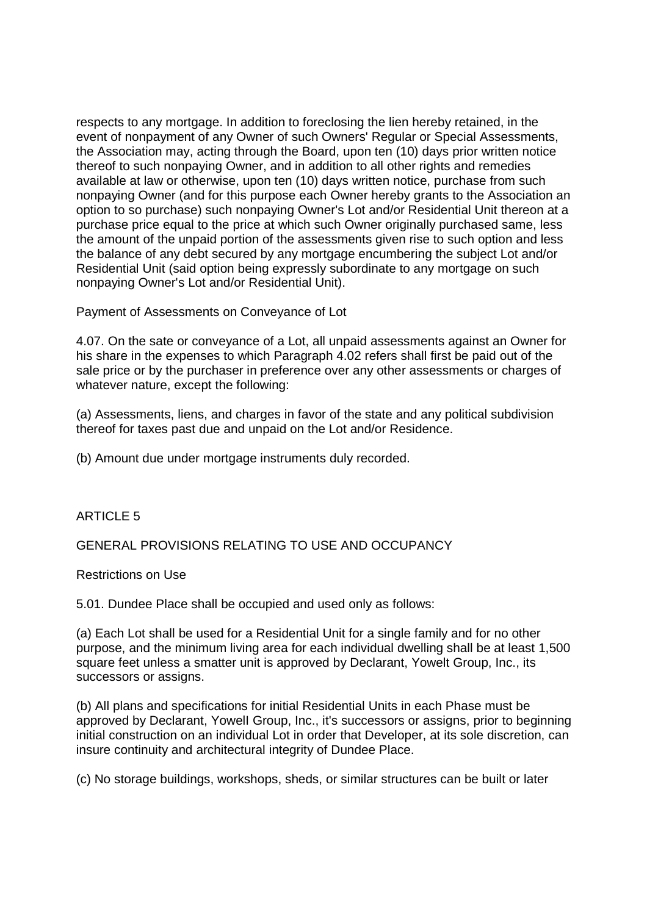respects to any mortgage. In addition to foreclosing the lien hereby retained, in the event of nonpayment of any Owner of such Owners' Regular or Special Assessments, the Association may, acting through the Board, upon ten (10) days prior written notice thereof to such nonpaying Owner, and in addition to all other rights and remedies available at law or otherwise, upon ten (10) days written notice, purchase from such nonpaying Owner (and for this purpose each Owner hereby grants to the Association an option to so purchase) such nonpaying Owner's Lot and/or Residential Unit thereon at a purchase price equal to the price at which such Owner originally purchased same, less the amount of the unpaid portion of the assessments given rise to such option and less the balance of any debt secured by any mortgage encumbering the subject Lot and/or Residential Unit (said option being expressly subordinate to any mortgage on such nonpaying Owner's Lot and/or Residential Unit).

Payment of Assessments on Conveyance of Lot

4.07. On the sate or conveyance of a Lot, all unpaid assessments against an Owner for his share in the expenses to which Paragraph 4.02 refers shall first be paid out of the sale price or by the purchaser in preference over any other assessments or charges of whatever nature, except the following:

(a) Assessments, liens, and charges in favor of the state and any political subdivision thereof for taxes past due and unpaid on the Lot and/or Residence.

(b) Amount due under mortgage instruments duly recorded.

# ARTICLE 5

GENERAL PROVISIONS RELATING TO USE AND OCCUPANCY

Restrictions on Use

5.01. Dundee Place shall be occupied and used only as follows:

(a) Each Lot shall be used for a Residential Unit for a single family and for no other purpose, and the minimum living area for each individual dwelling shall be at least 1,500 square feet unless a smatter unit is approved by Declarant, Yowelt Group, Inc., its successors or assigns.

(b) All plans and specifications for initial Residential Units in each Phase must be approved by Declarant, YowelI Group, Inc., it's successors or assigns, prior to beginning initial construction on an individual Lot in order that Developer, at its sole discretion, can insure continuity and architectural integrity of Dundee Place.

(c) No storage buildings, workshops, sheds, or similar structures can be built or later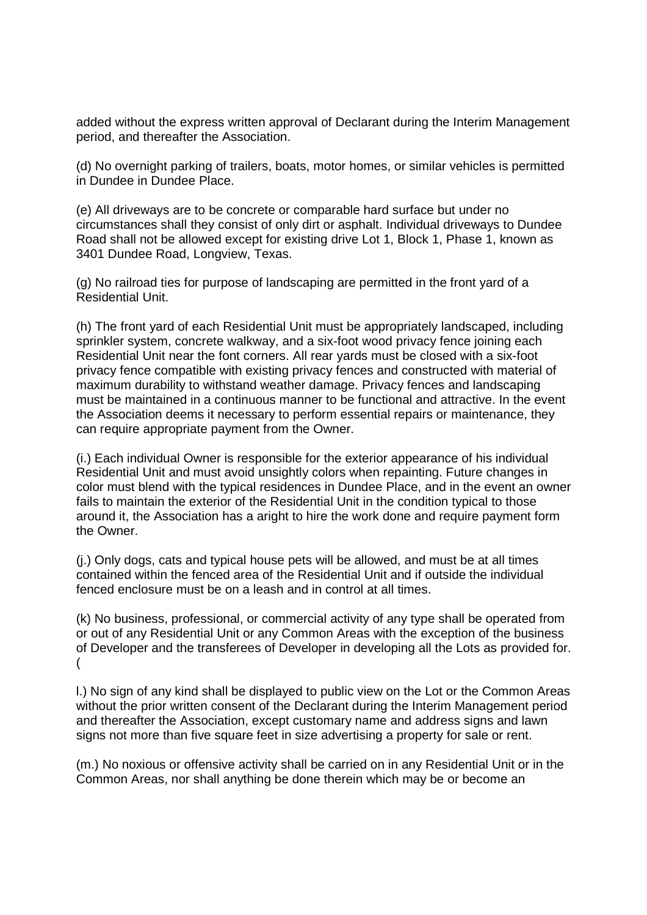added without the express written approval of Declarant during the Interim Management period, and thereafter the Association.

(d) No overnight parking of trailers, boats, motor homes, or similar vehicles is permitted in Dundee in Dundee Place.

(e) All driveways are to be concrete or comparable hard surface but under no circumstances shall they consist of only dirt or asphalt. Individual driveways to Dundee Road shall not be allowed except for existing drive Lot 1, Block 1, Phase 1, known as 3401 Dundee Road, Longview, Texas.

(g) No railroad ties for purpose of landscaping are permitted in the front yard of a Residential Unit.

(h) The front yard of each Residential Unit must be appropriately landscaped, including sprinkler system, concrete walkway, and a six-foot wood privacy fence joining each Residential Unit near the font corners. All rear yards must be closed with a six-foot privacy fence compatible with existing privacy fences and constructed with material of maximum durability to withstand weather damage. Privacy fences and landscaping must be maintained in a continuous manner to be functional and attractive. In the event the Association deems it necessary to perform essential repairs or maintenance, they can require appropriate payment from the Owner.

(i.) Each individual Owner is responsible for the exterior appearance of his individual Residential Unit and must avoid unsightly colors when repainting. Future changes in color must blend with the typical residences in Dundee Place, and in the event an owner fails to maintain the exterior of the Residential Unit in the condition typical to those around it, the Association has a aright to hire the work done and require payment form the Owner.

(j.) Only dogs, cats and typical house pets will be allowed, and must be at all times contained within the fenced area of the Residential Unit and if outside the individual fenced enclosure must be on a leash and in control at all times.

(k) No business, professional, or commercial activity of any type shall be operated from or out of any Residential Unit or any Common Areas with the exception of the business of Developer and the transferees of Developer in developing all the Lots as provided for. (

l.) No sign of any kind shall be displayed to public view on the Lot or the Common Areas without the prior written consent of the Declarant during the Interim Management period and thereafter the Association, except customary name and address signs and lawn signs not more than five square feet in size advertising a property for sale or rent.

(m.) No noxious or offensive activity shall be carried on in any Residential Unit or in the Common Areas, nor shall anything be done therein which may be or become an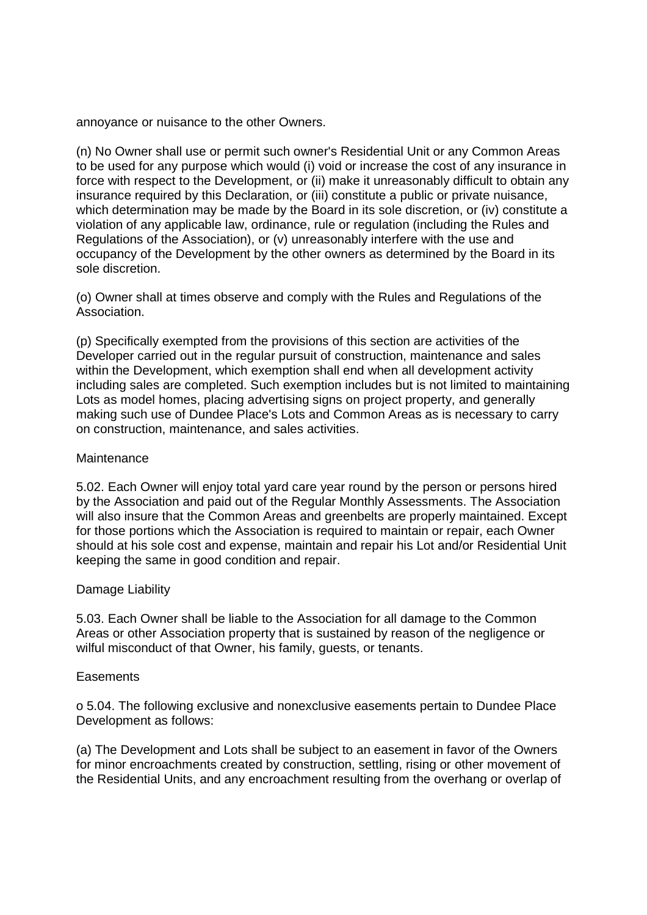annoyance or nuisance to the other Owners.

(n) No Owner shall use or permit such owner's Residential Unit or any Common Areas to be used for any purpose which would (i) void or increase the cost of any insurance in force with respect to the Development, or (ii) make it unreasonably difficult to obtain any insurance required by this Declaration, or (iii) constitute a public or private nuisance, which determination may be made by the Board in its sole discretion, or (iv) constitute a violation of any applicable law, ordinance, rule or regulation (including the Rules and Regulations of the Association), or (v) unreasonably interfere with the use and occupancy of the Development by the other owners as determined by the Board in its sole discretion.

(o) Owner shall at times observe and comply with the Rules and Regulations of the Association.

(p) Specifically exempted from the provisions of this section are activities of the Developer carried out in the regular pursuit of construction, maintenance and sales within the Development, which exemption shall end when all development activity including sales are completed. Such exemption includes but is not limited to maintaining Lots as model homes, placing advertising signs on project property, and generally making such use of Dundee Place's Lots and Common Areas as is necessary to carry on construction, maintenance, and sales activities.

#### **Maintenance**

5.02. Each Owner will enjoy total yard care year round by the person or persons hired by the Association and paid out of the Regular Monthly Assessments. The Association will also insure that the Common Areas and greenbelts are properly maintained. Except for those portions which the Association is required to maintain or repair, each Owner should at his sole cost and expense, maintain and repair his Lot and/or Residential Unit keeping the same in good condition and repair.

# Damage Liability

5.03. Each Owner shall be liable to the Association for all damage to the Common Areas or other Association property that is sustained by reason of the negligence or wilful misconduct of that Owner, his family, guests, or tenants.

#### **Easements**

o 5.04. The following exclusive and nonexclusive easements pertain to Dundee Place Development as follows:

(a) The Development and Lots shall be subject to an easement in favor of the Owners for minor encroachments created by construction, settling, rising or other movement of the Residential Units, and any encroachment resulting from the overhang or overlap of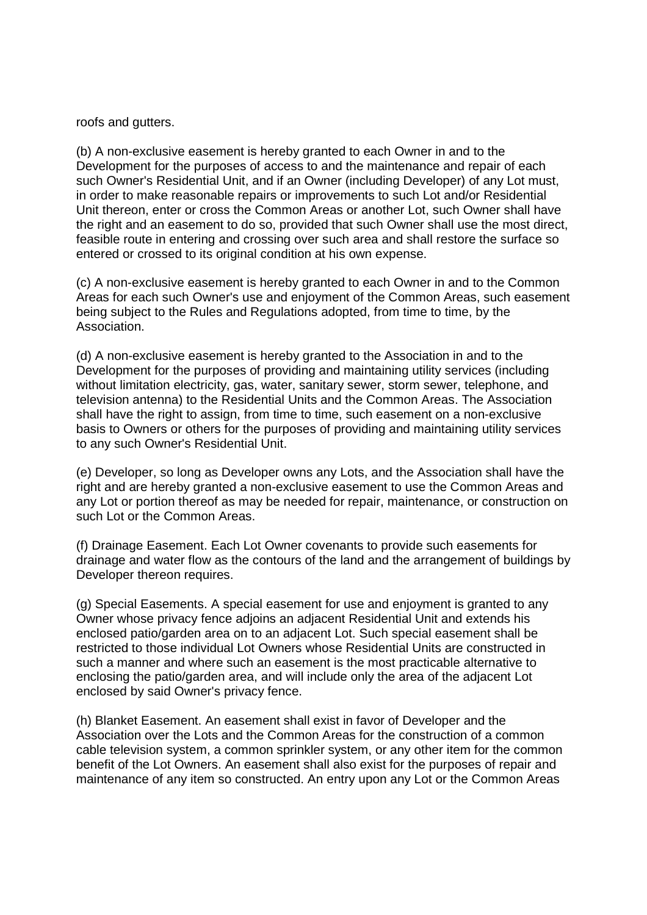roofs and gutters.

(b) A non-exclusive easement is hereby granted to each Owner in and to the Development for the purposes of access to and the maintenance and repair of each such Owner's Residential Unit, and if an Owner (including Developer) of any Lot must, in order to make reasonable repairs or improvements to such Lot and/or Residential Unit thereon, enter or cross the Common Areas or another Lot, such Owner shall have the right and an easement to do so, provided that such Owner shall use the most direct, feasible route in entering and crossing over such area and shall restore the surface so entered or crossed to its original condition at his own expense.

(c) A non-exclusive easement is hereby granted to each Owner in and to the Common Areas for each such Owner's use and enjoyment of the Common Areas, such easement being subject to the Rules and Regulations adopted, from time to time, by the Association.

(d) A non-exclusive easement is hereby granted to the Association in and to the Development for the purposes of providing and maintaining utility services (including without limitation electricity, gas, water, sanitary sewer, storm sewer, telephone, and television antenna) to the Residential Units and the Common Areas. The Association shall have the right to assign, from time to time, such easement on a non-exclusive basis to Owners or others for the purposes of providing and maintaining utility services to any such Owner's Residential Unit.

(e) Developer, so long as Developer owns any Lots, and the Association shall have the right and are hereby granted a non-exclusive easement to use the Common Areas and any Lot or portion thereof as may be needed for repair, maintenance, or construction on such Lot or the Common Areas.

(f) Drainage Easement. Each Lot Owner covenants to provide such easements for drainage and water flow as the contours of the land and the arrangement of buildings by Developer thereon requires.

(g) Special Easements. A special easement for use and enjoyment is granted to any Owner whose privacy fence adjoins an adjacent Residential Unit and extends his enclosed patio/garden area on to an adjacent Lot. Such special easement shall be restricted to those individual Lot Owners whose Residential Units are constructed in such a manner and where such an easement is the most practicable alternative to enclosing the patio/garden area, and will include only the area of the adjacent Lot enclosed by said Owner's privacy fence.

(h) Blanket Easement. An easement shall exist in favor of Developer and the Association over the Lots and the Common Areas for the construction of a common cable television system, a common sprinkler system, or any other item for the common benefit of the Lot Owners. An easement shall also exist for the purposes of repair and maintenance of any item so constructed. An entry upon any Lot or the Common Areas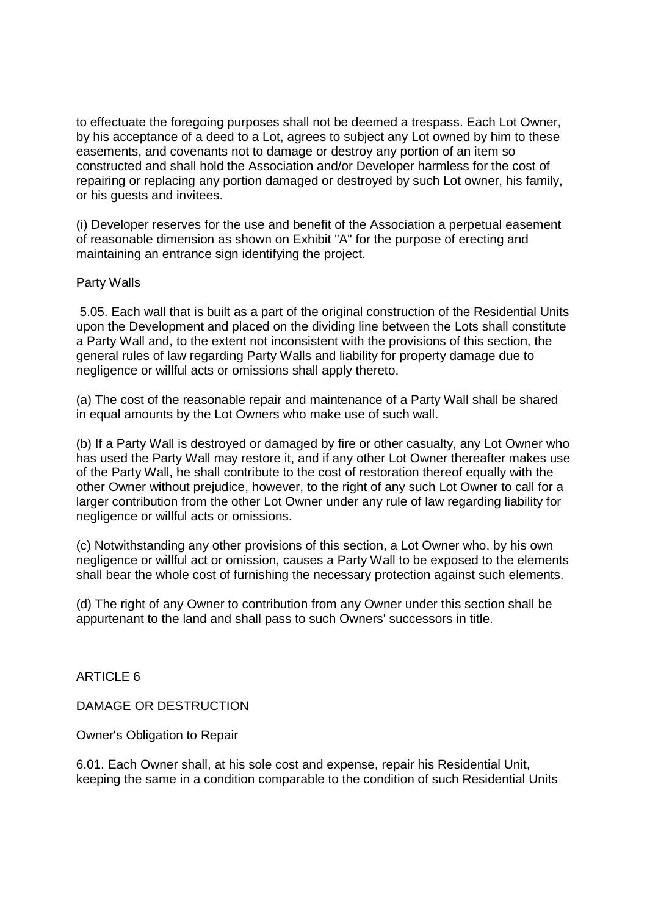to effectuate the foregoing purposes shall not be deemed a trespass. Each Lot Owner, by his acceptance of a deed to a Lot, agrees to subject any Lot owned by him to these easements, and covenants not to damage or destroy any portion of an item so constructed and shall hold the Association and/or Developer harmless for the cost of repairing or replacing any portion damaged or destroyed by such Lot owner, his family, or his guests and invitees.

(i) Developer reserves for the use and benefit of the Association a perpetual easement of reasonable dimension as shown on Exhibit "A" for the purpose of erecting and maintaining an entrance sign identifying the project.

# Party Walls

 5.05. Each wall that is built as a part of the original construction of the Residential Units upon the Development and placed on the dividing line between the Lots shall constitute a Party Wall and, to the extent not inconsistent with the provisions of this section, the general rules of law regarding Party Walls and liability for property damage due to negligence or willful acts or omissions shall apply thereto.

(a) The cost of the reasonable repair and maintenance of a Party Wall shall be shared in equal amounts by the Lot Owners who make use of such wall.

(b) If a Party Wall is destroyed or damaged by fire or other casualty, any Lot Owner who has used the Party Wall may restore it, and if any other Lot Owner thereafter makes use of the Party Wall, he shall contribute to the cost of restoration thereof equally with the other Owner without prejudice, however, to the right of any such Lot Owner to call for a larger contribution from the other Lot Owner under any rule of law regarding liability for negligence or willful acts or omissions.

(c) Notwithstanding any other provisions of this section, a Lot Owner who, by his own negligence or willful act or omission, causes a Party Wall to be exposed to the elements shall bear the whole cost of furnishing the necessary protection against such elements.

(d) The right of any Owner to contribution from any Owner under this section shall be appurtenant to the land and shall pass to such Owners' successors in title.

ARTICLE 6

DAMAGE OR DESTRUCTION

Owner's Obligation to Repair

6.01. Each Owner shall, at his sole cost and expense, repair his Residential Unit, keeping the same in a condition comparable to the condition of such Residential Units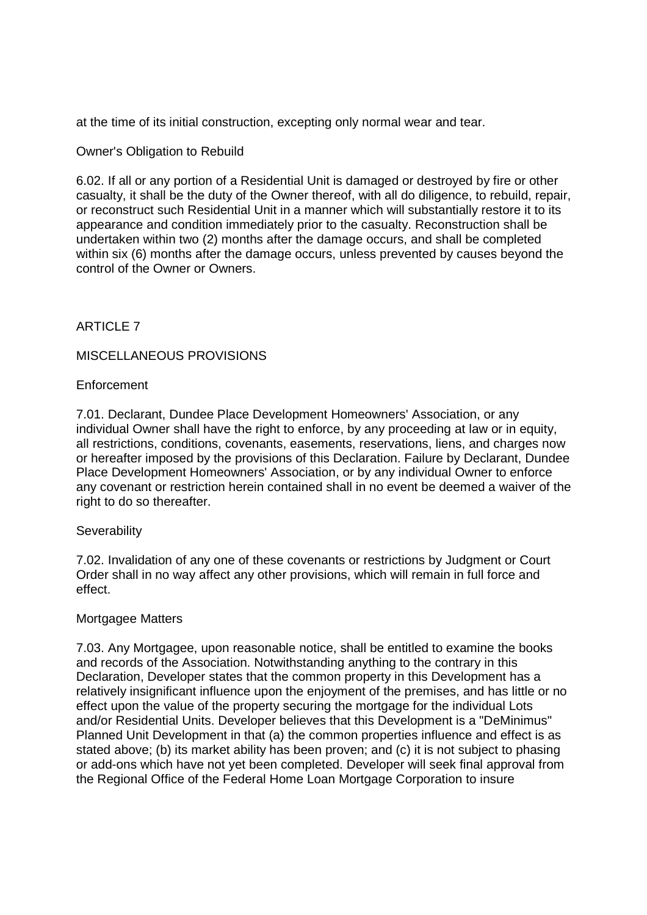at the time of its initial construction, excepting only normal wear and tear.

# Owner's Obligation to Rebuild

6.02. If all or any portion of a Residential Unit is damaged or destroyed by fire or other casualty, it shall be the duty of the Owner thereof, with all do diligence, to rebuild, repair, or reconstruct such Residential Unit in a manner which will substantially restore it to its appearance and condition immediately prior to the casualty. Reconstruction shall be undertaken within two (2) months after the damage occurs, and shall be completed within six (6) months after the damage occurs, unless prevented by causes beyond the control of the Owner or Owners.

# ARTICLE 7

# MISCELLANEOUS PROVISIONS

# Enforcement

7.01. Declarant, Dundee Place Development Homeowners' Association, or any individual Owner shall have the right to enforce, by any proceeding at law or in equity, all restrictions, conditions, covenants, easements, reservations, liens, and charges now or hereafter imposed by the provisions of this Declaration. Failure by Declarant, Dundee Place Development Homeowners' Association, or by any individual Owner to enforce any covenant or restriction herein contained shall in no event be deemed a waiver of the right to do so thereafter.

# **Severability**

7.02. Invalidation of any one of these covenants or restrictions by Judgment or Court Order shall in no way affect any other provisions, which will remain in full force and effect.

# Mortgagee Matters

7.03. Any Mortgagee, upon reasonable notice, shall be entitled to examine the books and records of the Association. Notwithstanding anything to the contrary in this Declaration, Developer states that the common property in this Development has a relatively insignificant influence upon the enjoyment of the premises, and has little or no effect upon the value of the property securing the mortgage for the individual Lots and/or Residential Units. Developer believes that this Development is a "DeMinimus" Planned Unit Development in that (a) the common properties influence and effect is as stated above; (b) its market ability has been proven; and (c) it is not subject to phasing or add-ons which have not yet been completed. Developer will seek final approval from the Regional Office of the Federal Home Loan Mortgage Corporation to insure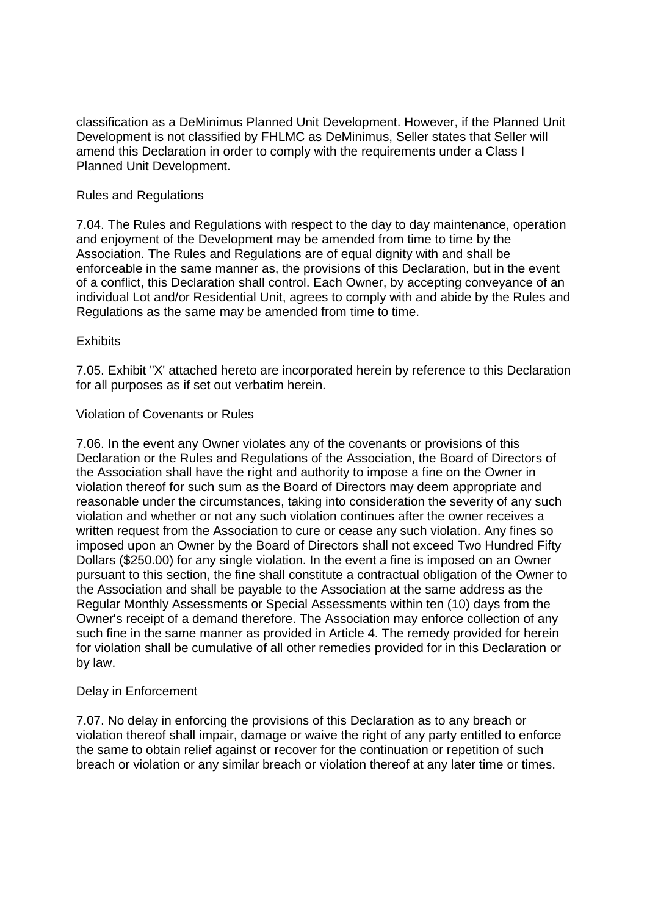classification as a DeMinimus Planned Unit Development. However, if the Planned Unit Development is not classified by FHLMC as DeMinimus, Seller states that Seller will amend this Declaration in order to comply with the requirements under a Class I Planned Unit Development.

# Rules and Regulations

7.04. The Rules and Regulations with respect to the day to day maintenance, operation and enjoyment of the Development may be amended from time to time by the Association. The Rules and Regulations are of equal dignity with and shall be enforceable in the same manner as, the provisions of this Declaration, but in the event of a conflict, this Declaration shall control. Each Owner, by accepting conveyance of an individual Lot and/or Residential Unit, agrees to comply with and abide by the Rules and Regulations as the same may be amended from time to time.

# **Exhibits**

7.05. Exhibit "X' attached hereto are incorporated herein by reference to this Declaration for all purposes as if set out verbatim herein.

# Violation of Covenants or Rules

7.06. In the event any Owner violates any of the covenants or provisions of this Declaration or the Rules and Regulations of the Association, the Board of Directors of the Association shall have the right and authority to impose a fine on the Owner in violation thereof for such sum as the Board of Directors may deem appropriate and reasonable under the circumstances, taking into consideration the severity of any such violation and whether or not any such violation continues after the owner receives a written request from the Association to cure or cease any such violation. Any fines so imposed upon an Owner by the Board of Directors shall not exceed Two Hundred Fifty Dollars (\$250.00) for any single violation. In the event a fine is imposed on an Owner pursuant to this section, the fine shall constitute a contractual obligation of the Owner to the Association and shall be payable to the Association at the same address as the Regular Monthly Assessments or Special Assessments within ten (10) days from the Owner's receipt of a demand therefore. The Association may enforce collection of any such fine in the same manner as provided in Article 4. The remedy provided for herein for violation shall be cumulative of all other remedies provided for in this Declaration or by law.

# Delay in Enforcement

7.07. No delay in enforcing the provisions of this Declaration as to any breach or violation thereof shall impair, damage or waive the right of any party entitled to enforce the same to obtain relief against or recover for the continuation or repetition of such breach or violation or any similar breach or violation thereof at any later time or times.